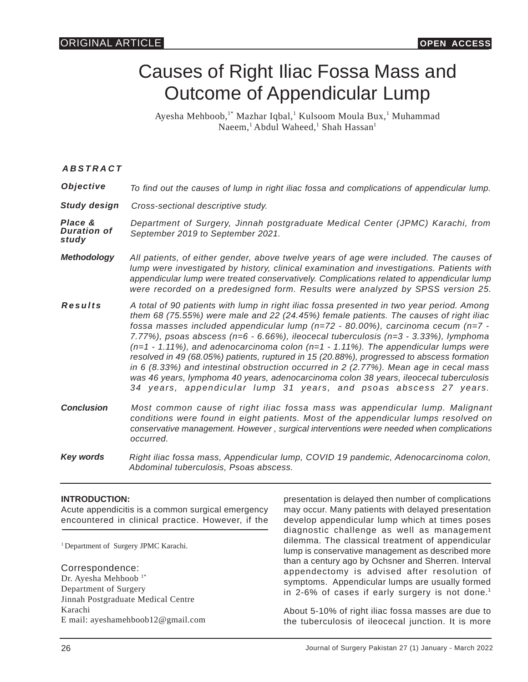# Causes of Right Iliac Fossa Mass and Outcome of Appendicular Lump

Ayesha Mehboob,<sup>1\*</sup> Mazhar Iqbal,<sup>1</sup> Kulsoom Moula Bux,<sup>1</sup> Muhammad Naeem,<sup>1</sup> Abdul Waheed,<sup>1</sup> Shah Hassan<sup>1</sup>

*ABSTRACT*

| Objective                       | To find out the causes of lump in right iliac fossa and complications of appendicular lump.                                                                                                                                                                                                                                                                                                                                                                                                                                                                                                                                                                                                                                                                                                                              |
|---------------------------------|--------------------------------------------------------------------------------------------------------------------------------------------------------------------------------------------------------------------------------------------------------------------------------------------------------------------------------------------------------------------------------------------------------------------------------------------------------------------------------------------------------------------------------------------------------------------------------------------------------------------------------------------------------------------------------------------------------------------------------------------------------------------------------------------------------------------------|
| Study design                    | Cross-sectional descriptive study.                                                                                                                                                                                                                                                                                                                                                                                                                                                                                                                                                                                                                                                                                                                                                                                       |
| Place &<br>Duration of<br>study | Department of Surgery, Jinnah postgraduate Medical Center (JPMC) Karachi, from<br>September 2019 to September 2021.                                                                                                                                                                                                                                                                                                                                                                                                                                                                                                                                                                                                                                                                                                      |
| Methodology                     | All patients, of either gender, above twelve years of age were included. The causes of<br>lump were investigated by history, clinical examination and investigations. Patients with<br>appendicular lump were treated conservatively. Complications related to appendicular lump<br>were recorded on a predesigned form. Results were analyzed by SPSS version 25.                                                                                                                                                                                                                                                                                                                                                                                                                                                       |
| Results                         | A total of 90 patients with lump in right iliac fossa presented in two year period. Among<br>them 68 (75.55%) were male and 22 (24.45%) female patients. The causes of right iliac<br>fossa masses included appendicular lump ( $n=72 - 80.00\%$ ), carcinoma cecum ( $n=7 - 1$<br>7.77%), psoas abscess (n=6 - 6.66%), ileocecal tuberculosis (n=3 - 3.33%), lymphoma<br>$(n=1 - 1.11%)$ , and adenocarcinoma colon $(n=1 - 1.11%)$ . The appendicular lumps were<br>resolved in 49 (68.05%) patients, ruptured in 15 (20.88%), progressed to abscess formation<br>in 6 (8.33%) and intestinal obstruction occurred in 2 (2.77%). Mean age in cecal mass<br>was 46 years, lymphoma 40 years, adenocarcinoma colon 38 years, ileocecal tuberculosis<br>34 years, appendicular lump 31 years, and psoas abscess 27 years. |
| Conclusion                      | Most common cause of right iliac fossa mass was appendicular lump. Malignant<br>conditions were found in eight patients. Most of the appendicular lumps resolved on<br>conservative management. However, surgical interventions were needed when complications<br>occurred.                                                                                                                                                                                                                                                                                                                                                                                                                                                                                                                                              |
| Key words                       | Right iliac fossa mass, Appendicular lump, COVID 19 pandemic, Adenocarcinoma colon,<br>Abdominal tuberculosis, Psoas abscess.                                                                                                                                                                                                                                                                                                                                                                                                                                                                                                                                                                                                                                                                                            |

# **INTRODUCTION:**

Acute appendicitis is a common surgical emergency encountered in clinical practice. However, if the

<sup>1</sup> Department of Surgery JPMC Karachi.

Correspondence:

Dr. Ayesha Mehboob<sup>1\*</sup> Department of Surgery Jinnah Postgraduate Medical Centre Karachi E mail: ayeshamehboob12@gmail.com presentation is delayed then number of complications may occur. Many patients with delayed presentation develop appendicular lump which at times poses diagnostic challenge as well as management dilemma. The classical treatment of appendicular lump is conservative management as described more than a century ago by Ochsner and Sherren. Interval appendectomy is advised after resolution of symptoms. Appendicular lumps are usually formed in 2-6% of cases if early surgery is not done.<sup>1</sup>

About 5-10% of right iliac fossa masses are due to the tuberculosis of ileocecal junction. It is more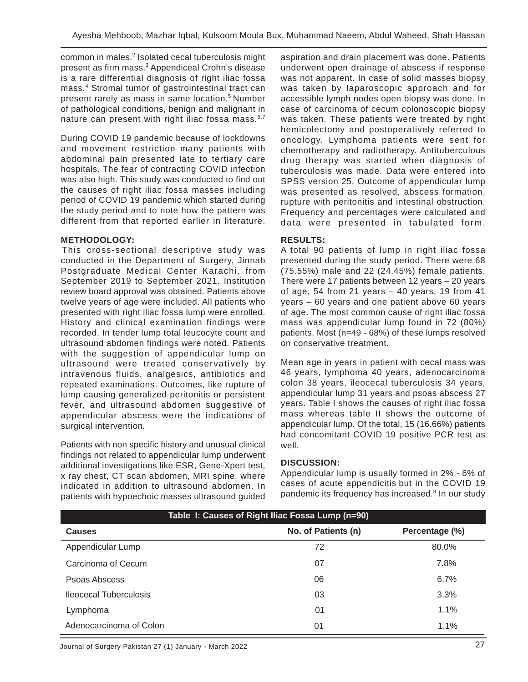common in males.<sup>2</sup> Isolated cecal tuberculosis might present as firm mass.<sup>3</sup> Appendiceal Crohn's disease is a rare differential diagnosis of right iliac fossa mass.<sup>4</sup> Stromal tumor of gastrointestinal tract can present rarely as mass in same location.<sup>5</sup> Number of pathological conditions, benign and malignant in nature can present with right iliac fossa mass.<sup>6,7</sup>

During COVID 19 pandemic because of lockdowns and movement restriction many patients with abdominal pain presented late to tertiary care hospitals. The fear of contracting COVID infection was also high. This study was conducted to find out the causes of right iliac fossa masses including period of COVID 19 pandemic which started during the study period and to note how the pattern was different from that reported earlier in literature.

#### **METHODOLOGY:**

This cross-sectional descriptive study was conducted in the Department of Surgery, Jinnah Postgraduate Medical Center Karachi, from September 2019 to September 2021. Institution review board approval was obtained. Patients above twelve years of age were included. All patients who presented with right iliac fossa lump were enrolled. History and clinical examination findings were recorded. In tender lump total leucocyte count and ultrasound abdomen findings were noted. Patients with the suggestion of appendicular lump on ultrasound were treated conservatively by intravenous fluids, analgesics, antibiotics and repeated examinations. Outcomes, like rupture of lump causing generalized peritonitis or persistent fever, and ultrasound abdomen suggestive of appendicular abscess were the indications of surgical intervention.

Patients with non specific history and unusual clinical findings not related to appendicular lump underwent additional investigations like ESR, Gene-Xpert test, x ray chest, CT scan abdomen, MRI spine, where indicated in addition to ultrasound abdomen. In patients with hypoechoic masses ultrasound guided aspiration and drain placement was done. Patients underwent open drainage of abscess if response was not apparent. In case of solid masses biopsy was taken by laparoscopic approach and for accessible lymph nodes open biopsy was done. In case of carcinoma of cecum colonoscopic biopsy was taken. These patients were treated by right hemicolectomy and postoperatively referred to oncology. Lymphoma patients were sent for chemotherapy and radiotherapy. Antituberculous drug therapy was started when diagnosis of tuberculosis was made. Data were entered into SPSS version 25. Outcome of appendicular lump was presented as resolved, abscess formation, rupture with peritonitis and intestinal obstruction. Frequency and percentages were calculated and data were presented in tabulated form.

### **RESULTS:**

A total 90 patients of lump in right iliac fossa presented during the study period. There were 68 (75.55%) male and 22 (24.45%) female patients. There were 17 patients between 12 years – 20 years of age, 54 from 21 years  $-$  40 years, 19 from 41 years – 60 years and one patient above 60 years of age. The most common cause of right iliac fossa mass was appendicular lump found in 72 (80%) patients. Most (n=49 - 68%) of these lumps resolved on conservative treatment.

Mean age in years in patient with cecal mass was 46 years, lymphoma 40 years, adenocarcinoma colon 38 years, ileocecal tuberculosis 34 years, appendicular lump 31 years and psoas abscess 27 years. Table I shows the causes of right iliac fossa mass whereas table II shows the outcome of appendicular lump. Of the total, 15 (16.66%) patients had concomitant COVID 19 positive PCR test as well.

#### **DISCUSSION:**

Appendicular lump is usually formed in 2% - 6% of cases of acute appendicitis but in the COVID 19 pandemic its frequency has increased.<sup>8</sup> In our study

| Table I: Causes of Right Iliac Fossa Lump (n=90) |                     |                |  |
|--------------------------------------------------|---------------------|----------------|--|
| <b>Causes</b>                                    | No. of Patients (n) | Percentage (%) |  |
| Appendicular Lump                                | 72                  | 80.0%          |  |
| Carcinoma of Cecum                               | 07                  | 7.8%           |  |
| Psoas Abscess                                    | 06                  | 6.7%           |  |
| <b>Ileocecal Tuberculosis</b>                    | 03                  | 3.3%           |  |
| Lymphoma                                         | 01                  | 1.1%           |  |
| Adenocarcinoma of Colon                          | 01                  | 1.1%           |  |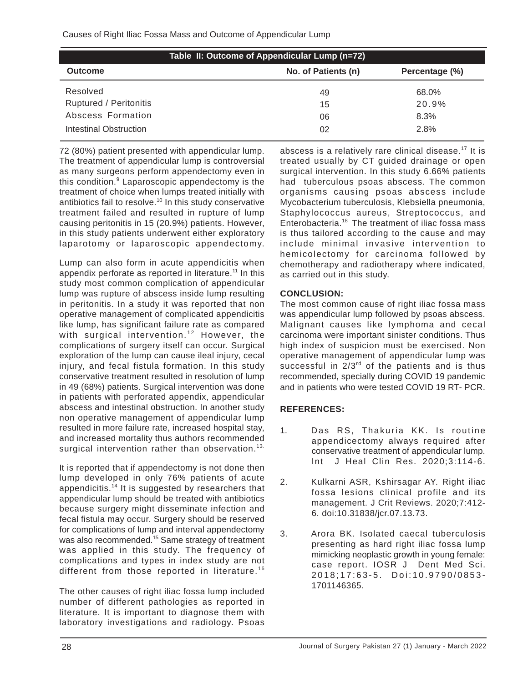| Table II: Outcome of Appendicular Lump (n=72) |                     |                |  |  |
|-----------------------------------------------|---------------------|----------------|--|--|
| <b>Outcome</b>                                | No. of Patients (n) | Percentage (%) |  |  |
| Resolved                                      | 49                  | 68.0%          |  |  |
| Ruptured / Peritonitis                        | 15                  | 20.9%          |  |  |
| Abscess Formation                             | 06                  | 8.3%           |  |  |
| Intestinal Obstruction                        | 02                  | 2.8%           |  |  |

72 (80%) patient presented with appendicular lump. The treatment of appendicular lump is controversial as many surgeons perform appendectomy even in this condition.<sup>9</sup> Laparoscopic appendectomy is the treatment of choice when lumps treated initially with antibiotics fail to resolve.<sup>10</sup> In this study conservative treatment failed and resulted in rupture of lump causing peritonitis in 15 (20.9%) patients. However, in this study patients underwent either exploratory laparotomy or laparoscopic appendectomy.

Lump can also form in acute appendicitis when appendix perforate as reported in literature.<sup>11</sup> In this study most common complication of appendicular lump was rupture of abscess inside lump resulting in peritonitis. In a study it was reported that non operative management of complicated appendicitis like lump, has significant failure rate as compared with surgical intervention.<sup>12</sup> However, the complications of surgery itself can occur. Surgical exploration of the lump can cause ileal injury, cecal injury, and fecal fistula formation. In this study conservative treatment resulted in resolution of lump in 49 (68%) patients. Surgical intervention was done in patients with perforated appendix, appendicular abscess and intestinal obstruction. In another study non operative management of appendicular lump resulted in more failure rate, increased hospital stay, and increased mortality thus authors recommended surgical intervention rather than observation.<sup>13.</sup>

It is reported that if appendectomy is not done then lump developed in only 76% patients of acute appendicitis.<sup>14</sup> It is suggested by researchers that appendicular lump should be treated with antibiotics because surgery might disseminate infection and fecal fistula may occur. Surgery should be reserved for complications of lump and interval appendectomy was also recommended.<sup>15</sup> Same strategy of treatment was applied in this study. The frequency of complications and types in index study are not different from those reported in literature.<sup>16</sup>

The other causes of right iliac fossa lump included number of different pathologies as reported in literature. It is important to diagnose them with laboratory investigations and radiology. Psoas

abscess is a relatively rare clinical disease.<sup>17</sup> It is treated usually by CT guided drainage or open surgical intervention. In this study 6.66% patients had tuberculous psoas abscess. The common organisms causing psoas abscess include Mycobacterium tuberculosis, Klebsiella pneumonia, Staphylococcus aureus, Streptococcus, and Enterobacteria.<sup>18</sup> The treatment of iliac fossa mass is thus tailored according to the cause and may include minimal invasive intervention to hemicolectomy for carcinoma followed by chemotherapy and radiotherapy where indicated, as carried out in this study.

# **CONCLUSION:**

The most common cause of right iliac fossa mass was appendicular lump followed by psoas abscess. Malignant causes like lymphoma and cecal carcinoma were important sinister conditions. Thus high index of suspicion must be exercised. Non operative management of appendicular lump was successful in  $2/3^{rd}$  of the patients and is thus recommended, specially during COVID 19 pandemic and in patients who were tested COVID 19 RT- PCR.

# **REFERENCES:**

- 1. Das RS, Thakuria KK. Is routine appendicectomy always required after conservative treatment of appendicular lump. Int J Heal Clin Res. 2020;3:114-6.
- 2. Kulkarni ASR, Kshirsagar AY. Right iliac fossa lesions clinical profile and its management. J Crit Reviews. 2020;7:412- 6. doi:10.31838/jcr.07.13.73.
- 3. Arora BK. Isolated caecal tuberculosis presenting as hard right iliac fossa lump mimicking neoplastic growth in young female: case report. IOSR J Dent Med Sci. 2018;17:63-5. Doi:10.9790/0853- 1701146365.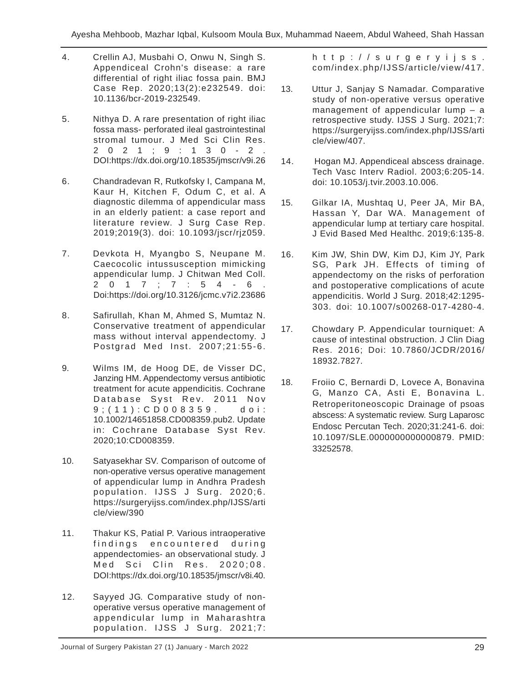- 4. Crellin AJ, Musbahi O, Onwu N, Singh S. Appendiceal Crohn's disease: a rare differential of right iliac fossa pain. BMJ Case Rep. 2020;13(2):e232549. doi: 10.1136/bcr-2019-232549.
- 5. Nithya D. A rare presentation of right iliac fossa mass- perforated ileal gastrointestinal stromal tumour. J Med Sci Clin Res. 2021;9:130-2. DOI:https://dx.doi.org/10.18535/jmscr/v9i.26
- 6. Chandradevan R, Rutkofsky I, Campana M, Kaur H, Kitchen F, Odum C, et al. A diagnostic dilemma of appendicular mass in an elderly patient: a case report and literature review. J Surg Case Rep. 2019;2019(3). doi: 10.1093/jscr/rjz059.
- 7. Devkota H, Myangbo S, Neupane M. Caecocolic intussusception mimicking appendicular lump. J Chitwan Med Coll. 2017;7:54-6. Doi:https://doi.org/10.3126/jcmc.v7i2.23686
- 8. Safirullah, Khan M, Ahmed S, Mumtaz N. Conservative treatment of appendicular mass without interval appendectomy. J Postgrad Med Inst. 2007;21:55-6.
- 9. Wilms IM, de Hoog DE, de Visser DC, Janzing HM. Appendectomy versus antibiotic treatment for acute appendicitis. Cochrane Database Syst Rev. 2011 Nov 9;(11):CD008359. doi: 10.1002/14651858.CD008359.pub2. Update in: Cochrane Database Syst Rev. 2020;10:CD008359.
- 10. Satyasekhar SV. Comparison of outcome of non-operative versus operative management of appendicular lump in Andhra Pradesh population. IJSS J Surg. 2020;6. https://surgeryijss.com/index.php/IJSS/arti cle/view/390
- 11. Thakur KS, Patial P. Various intraoperative findings encountered during appendectomies- an observational study. J Med Sci Clin Res. 2020;08. DOI:https://dx.doi.org/10.18535/jmscr/v8i.40.
- 12. Sayyed JG. Comparative study of nonoperative versus operative management of appendicular lump in Maharashtra population. IJSS J Surg. 2021;7:

http://surgeryijss. com/index.php/IJSS/article/view/417.

- 13. Uttur J, Sanjay S Namadar. Comparative study of non-operative versus operative management of appendicular lump – a retrospective study. IJSS J Surg. 2021;7: https://surgeryijss.com/index.php/IJSS/arti cle/view/407.
- 14. Hogan MJ. Appendiceal abscess drainage. Tech Vasc Interv Radiol. 2003;6:205-14. doi: 10.1053/j.tvir.2003.10.006.
- 15. Gilkar IA, Mushtaq U, Peer JA, Mir BA, Hassan Y, Dar WA. Management of appendicular lump at tertiary care hospital. J Evid Based Med Healthc. 2019;6:135-8.
- 16. Kim JW, Shin DW, Kim DJ, Kim JY, Park SG, Park JH. Effects of timing of appendectomy on the risks of perforation and postoperative complications of acute appendicitis. World J Surg. 2018;42:1295- 303. doi: 10.1007/s00268-017-4280-4.
- 17. Chowdary P. Appendicular tourniquet: A cause of intestinal obstruction. J Clin Diag Res. 2016; Doi: 10.7860/JCDR/2016/ 18932.7827.
- 18. Froiio C, Bernardi D, Lovece A, Bonavina G, Manzo CA, Asti E, Bonavina L. Retroperitoneoscopic Drainage of psoas abscess: A systematic review. Surg Laparosc Endosc Percutan Tech. 2020;31:241-6. doi: 10.1097/SLE.0000000000000879. PMID: 33252578.